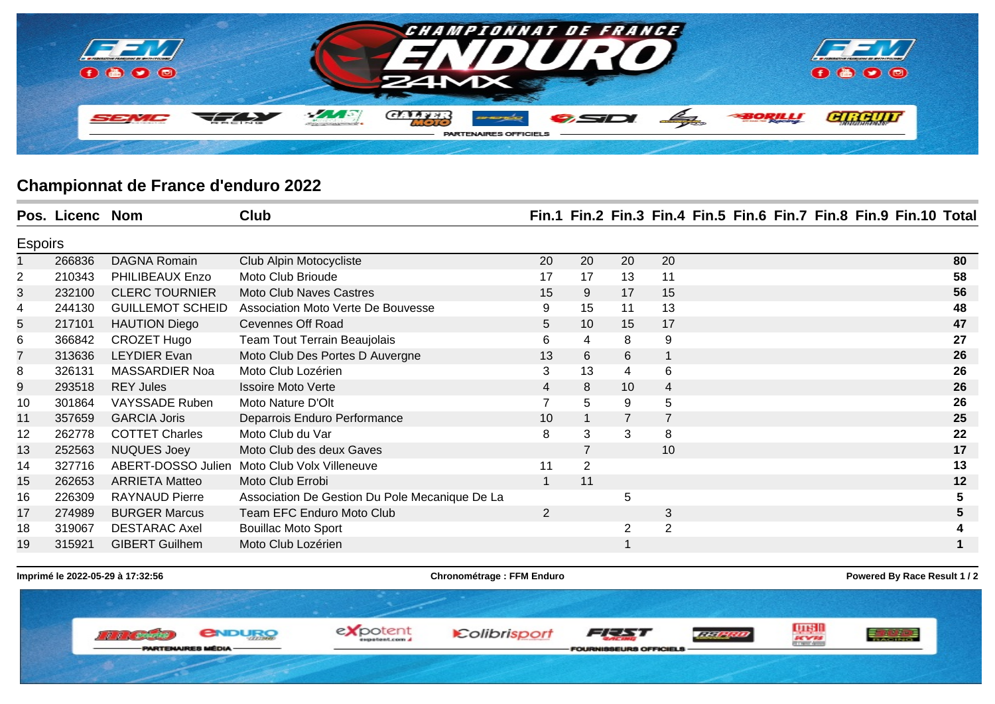

## **Championnat de France d'enduro 2022**

|                | Pos. Licenc Nom |                         | Club                                           |    |                |                 |                |  |  | Fin.1 Fin.2 Fin.3 Fin.4 Fin.5 Fin.6 Fin.7 Fin.8 Fin.9 Fin.10 Total |    |
|----------------|-----------------|-------------------------|------------------------------------------------|----|----------------|-----------------|----------------|--|--|--------------------------------------------------------------------|----|
| <b>Espoirs</b> |                 |                         |                                                |    |                |                 |                |  |  |                                                                    |    |
|                | 266836          | <b>DAGNA Romain</b>     | Club Alpin Motocycliste                        | 20 | 20             | 20              | 20             |  |  |                                                                    | 80 |
| 2              | 210343          | PHILIBEAUX Enzo         | Moto Club Brioude                              | 17 | 17             | 13              | 11             |  |  |                                                                    | 58 |
| 3              | 232100          | <b>CLERC TOURNIER</b>   | <b>Moto Club Naves Castres</b>                 | 15 | 9              | 17              | 15             |  |  |                                                                    | 56 |
| 4              | 244130          | <b>GUILLEMOT SCHEID</b> | Association Moto Verte De Bouvesse             | 9  | 15             | 11              | 13             |  |  |                                                                    | 48 |
| 5              | 217101          | <b>HAUTION Diego</b>    | <b>Cevennes Off Road</b>                       | 5  | 10             | 15              | 17             |  |  |                                                                    | 47 |
| 6              | 366842          | CROZET Hugo             | <b>Team Tout Terrain Beaujolais</b>            | 6  | 4              | 8               | 9              |  |  |                                                                    | 27 |
| $\overline{7}$ | 313636          | <b>LEYDIER Evan</b>     | Moto Club Des Portes D Auvergne                | 13 | 6              | $6\phantom{1}6$ |                |  |  |                                                                    | 26 |
| 8              | 326131          | <b>MASSARDIER Noa</b>   | Moto Club Lozérien                             | 3  | 13             | 4               | 6              |  |  |                                                                    | 26 |
| 9              | 293518          | <b>REY Jules</b>        | <b>Issoire Moto Verte</b>                      | 4  | 8              | 10              | $\overline{4}$ |  |  |                                                                    | 26 |
| 10             | 301864          | VAYSSADE Ruben          | Moto Nature D'Olt                              |    | 5              | 9               | 5              |  |  |                                                                    | 26 |
| 11             | 357659          | <b>GARCIA Joris</b>     | Deparrois Enduro Performance                   | 10 |                | 7               | 7              |  |  |                                                                    | 25 |
| 12             | 262778          | <b>COTTET Charles</b>   | Moto Club du Var                               | 8  | 3              | 3               | 8              |  |  |                                                                    | 22 |
| 13             | 252563          | <b>NUQUES Joey</b>      | Moto Club des deux Gaves                       |    | $\overline{7}$ |                 | 10             |  |  |                                                                    | 17 |
| 14             | 327716          | ABERT-DOSSO Julien      | Moto Club Volx Villeneuve                      | 11 | $\overline{2}$ |                 |                |  |  |                                                                    | 13 |
| 15             | 262653          | <b>ARRIETA Matteo</b>   | Moto Club Errobi                               |    | 11             |                 |                |  |  |                                                                    | 12 |
| 16             | 226309          | <b>RAYNAUD Pierre</b>   | Association De Gestion Du Pole Mecanique De La |    |                | 5               |                |  |  |                                                                    | 5  |
| 17             | 274989          | <b>BURGER Marcus</b>    | Team EFC Enduro Moto Club                      | 2  |                |                 | 3              |  |  |                                                                    |    |
| 18             | 319067          | <b>DESTARAC Axel</b>    | <b>Bouillac Moto Sport</b>                     |    |                | $\overline{2}$  | 2              |  |  |                                                                    |    |
| 19             | 315921          | <b>GIBERT Guilhem</b>   | Moto Club Lozérien                             |    |                | 1               |                |  |  |                                                                    |    |

**Imprimé le 2022-05-29 à 17:32:56 Chronométrage : FFM Enduro Powered By Race Result 1 / 2**